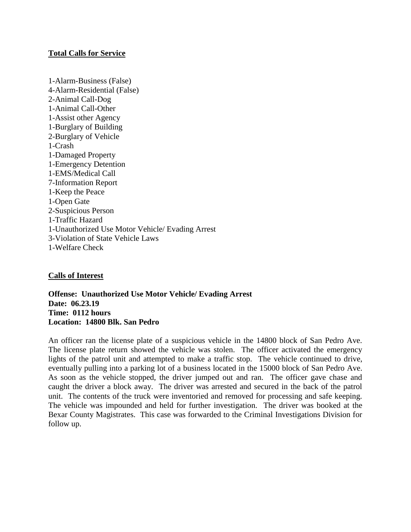## **Total Calls for Service**

1-Alarm-Business (False) 4-Alarm-Residential (False) 2-Animal Call-Dog 1-Animal Call-Other 1-Assist other Agency 1-Burglary of Building 2-Burglary of Vehicle 1-Crash 1-Damaged Property 1-Emergency Detention 1-EMS/Medical Call 7-Information Report 1-Keep the Peace 1-Open Gate 2-Suspicious Person 1-Traffic Hazard 1-Unauthorized Use Motor Vehicle/ Evading Arrest 3-Violation of State Vehicle Laws 1-Welfare Check

# **Calls of Interest**

**Offense: Unauthorized Use Motor Vehicle/ Evading Arrest Date: 06.23.19 Time: 0112 hours Location: 14800 Blk. San Pedro**

An officer ran the license plate of a suspicious vehicle in the 14800 block of San Pedro Ave. The license plate return showed the vehicle was stolen. The officer activated the emergency lights of the patrol unit and attempted to make a traffic stop. The vehicle continued to drive, eventually pulling into a parking lot of a business located in the 15000 block of San Pedro Ave. As soon as the vehicle stopped, the driver jumped out and ran. The officer gave chase and caught the driver a block away. The driver was arrested and secured in the back of the patrol unit. The contents of the truck were inventoried and removed for processing and safe keeping. The vehicle was impounded and held for further investigation. The driver was booked at the Bexar County Magistrates. This case was forwarded to the Criminal Investigations Division for follow up.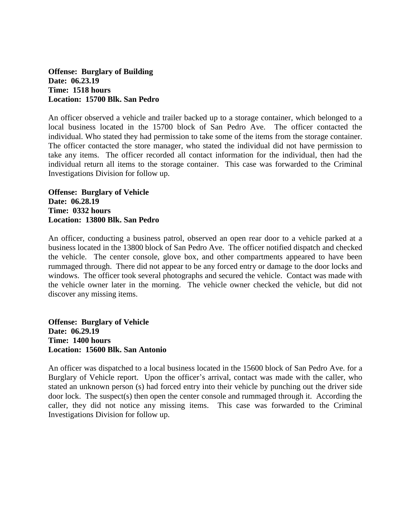**Offense: Burglary of Building Date: 06.23.19 Time: 1518 hours Location: 15700 Blk. San Pedro**

An officer observed a vehicle and trailer backed up to a storage container, which belonged to a local business located in the 15700 block of San Pedro Ave. The officer contacted the individual. Who stated they had permission to take some of the items from the storage container. The officer contacted the store manager, who stated the individual did not have permission to take any items. The officer recorded all contact information for the individual, then had the individual return all items to the storage container. This case was forwarded to the Criminal Investigations Division for follow up.

**Offense: Burglary of Vehicle Date: 06.28.19 Time: 0332 hours Location: 13800 Blk. San Pedro**

An officer, conducting a business patrol, observed an open rear door to a vehicle parked at a business located in the 13800 block of San Pedro Ave. The officer notified dispatch and checked the vehicle. The center console, glove box, and other compartments appeared to have been rummaged through. There did not appear to be any forced entry or damage to the door locks and windows. The officer took several photographs and secured the vehicle. Contact was made with the vehicle owner later in the morning. The vehicle owner checked the vehicle, but did not discover any missing items.

**Offense: Burglary of Vehicle Date: 06.29.19 Time: 1400 hours Location: 15600 Blk. San Antonio**

An officer was dispatched to a local business located in the 15600 block of San Pedro Ave. for a Burglary of Vehicle report. Upon the officer's arrival, contact was made with the caller, who stated an unknown person (s) had forced entry into their vehicle by punching out the driver side door lock. The suspect(s) then open the center console and rummaged through it. According the caller, they did not notice any missing items. This case was forwarded to the Criminal Investigations Division for follow up.